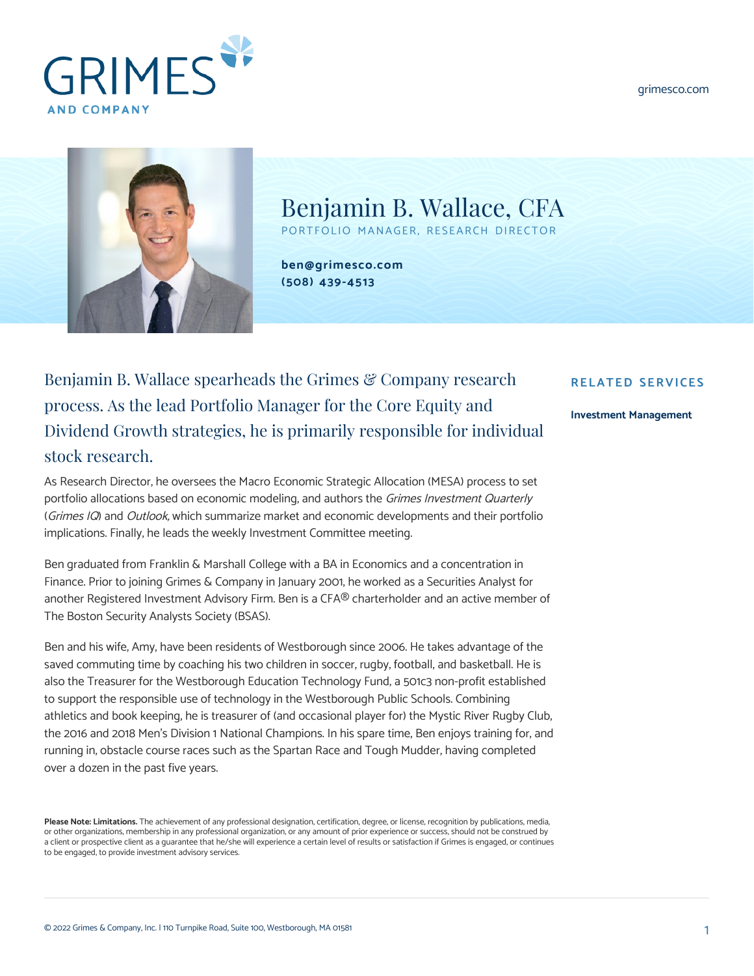[grimesco.com](https://www.grimesco.com)





Benjamin B. Wallace, CFA

PORTFOLIO MANAGER, RESEARCH DIRECTOR

**[ben@grimesco.com](mailto:ben@grimesco.com) [\(508\) 439-4513](#page--1-0)**

## Benjamin B. Wallace spearheads the Grimes & Company research process. As the lead Portfolio Manager for the Core Equity and Dividend Growth strategies, he is primarily responsible for individual stock research.

As Research Director, he oversees the Macro Economic Strategic Allocation (MESA) process to set portfolio allocations based on economic modeling, and authors the Grimes Investment Quarterly (Grimes IQ) and Outlook, which summarize market and economic developments and their portfolio implications. Finally, he leads the weekly Investment Committee meeting.

Ben graduated from Franklin & Marshall College with a BA in Economics and a concentration in Finance. Prior to joining Grimes & Company in January 2001, he worked as a Securities Analyst for another Registered Investment Advisory Firm. Ben is a CFA® charterholder and an active member of The Boston Security Analysts Society (BSAS).

Ben and his wife, Amy, have been residents of Westborough since 2006. He takes advantage of the saved commuting time by coaching his two children in soccer, rugby, football, and basketball. He is also the Treasurer for the Westborough Education Technology Fund, a 501c3 non-profit established to support the responsible use of technology in the Westborough Public Schools. Combining athletics and book keeping, he is treasurer of (and occasional player for) the Mystic River Rugby Club, the 2016 and 2018 Men's Division 1 National Champions. In his spare time, Ben enjoys training for, and running in, obstacle course races such as the Spartan Race and Tough Mudder, having completed over a dozen in the past five years.

**Please Note: Limitations.** The achievement of any professional designation, certification, degree, or license, recognition by publications, media, or other organizations, membership in any professional organization, or any amount of prior experience or success, should not be construed by a client or prospective client as a guarantee that he/she will experience a certain level of results or satisfaction if Grimes is engaged, or continues to be engaged, to provide investment advisory services.

## **RELATED SERVICES**

## **[Investment Management](https://www.grimesco.com/service/investment-management/)**